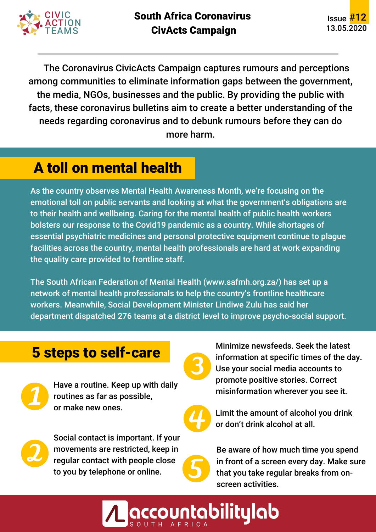

The Coronavirus CivicActs Campaign captures rumours and perceptions among communities to eliminate information gaps between the government, the media, NGOs, businesses and the public. By providing the public with facts, these coronavirus bulletins aim to create a better understanding of the needs regarding coronavirus and to debunk rumours before they can do more harm.

## A toll on mental health

As the country observes Mental Health Awareness Month, we're focusing on the emotional toll on public servants and looking at what the government's obligations are to their health and wellbeing. Caring for the mental health of public health workers bolsters our response to the Covid19 pandemic as a country. While shortages of essential psychiatric medicines and personal protective equipment continue to plague facilities across the country, mental health professionals are hard at work expanding the quality care provided to frontline staff.

The South African Federation of Mental Health (www.safmh.org.za/) has set up a network of mental health professionals to help the country's frontline healthcare workers. Meanwhile, Social Development Minister Lindiwe Zulu has said her department dispatched 276 teams at a district level to improve psycho-social support.

## 5 steps to self-care



Have a routine. Keep up with daily routines as far as possible, or make new ones.



Social contact is important. If your movements are restricted, keep in regular contact with people close to you by telephone or online.



Minimize newsfeeds. Seek the latest information at specific times of the day. Use your social media accounts to promote positive stories. Correct misinformation wherever you see it.



**accountabilitylab** 

Limit the amount of alcohol you drink or don't drink alcohol at all.

Be aware of how much time you spend in front of a screen every day. Make sure that you take regular breaks from onscreen activities.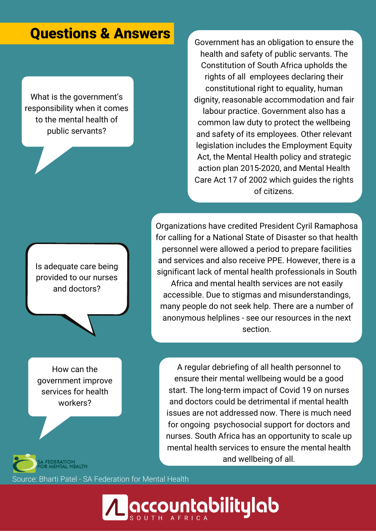#### Questions & Answers

What is the government's responsibility when it comes to the mental health of public servants?

Government has an obligation to ensure the health and safety of public servants. The Constitution of South Africa upholds the rights of all employees declaring their constitutional right to equality, human dignity, reasonable accommodation and fair labour practice. Government also has a common law duty to protect the wellbeing and safety of its employees. Other relevant legislation includes the Employment Equity Act, the Mental Health policy and strategic action plan 2015-2020, and Mental Health Care Act 17 of 2002 which guides the rights of citizens.

Is adequate care being provided to our nurses and doctors?

Organizations have credited President Cyril Ramaphosa for calling for a National State of Disaster so that health personnel were allowed a period to prepare facilities and services and also receive PPE. However, there is a significant lack of mental health professionals in South Africa and mental health services are not easily accessible. Due to stigmas and misunderstandings, many people do not seek help. There are a number of anonymous helplines - see our resources in the next section.

How can the government improve services for health workers?

A regular debriefing of all health personnel to ensure their mental wellbeing would be a good start. The long-term impact of Covid 19 on nurses and doctors could be detrimental if mental health issues are not addressed now. There is much need for ongoing psychosocial support for doctors and nurses. South Africa has an opportunity to scale up mental health services to ensure the mental health and wellbeing of all.

Source: Bharti Patel - SA Federation for Mental Health

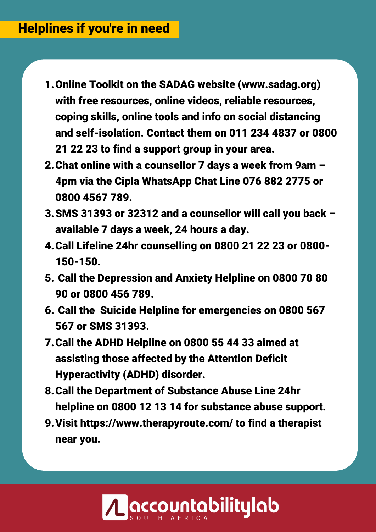- 1. Online Toolkit on the SADAG website (www.sadag.org) with free resources, online videos, reliable resources, coping skills, online tools and info on social distancing and self-isolation. Contact them on 011 234 4837 or 0800 21 22 23 to find a support group in your area.
- Chat online with a counsellor 7 days a week from 9am 2. 4pm via the Cipla WhatsApp Chat Line 076 882 2775 or 0800 4567 789.
- SMS 31393 or 32312 and a counsellor will call you back 3. available 7 days a week, 24 hours a day.
- Call Lifeline 24hr counselling on 0800 21 22 23 or 0800- 4. 150-150.
- 5. Call the Depression and Anxiety Helpline on 0800 70 80 90 or 0800 456 789.
- 6. Call the Suicide Helpline for emergencies on 0800 567 567 or SMS 31393.
- 7. Call the ADHD Helpline on 0800 55 44 33 aimed at assisting those affected by the Attention Deficit Hyperactivity (ADHD) disorder.
- Call the Department of Substance Abuse Line 24hr 8. helpline on 0800 12 13 14 for substance abuse support.
- Visit https://www.therapyroute.com/ to find a therapist 9.near you.